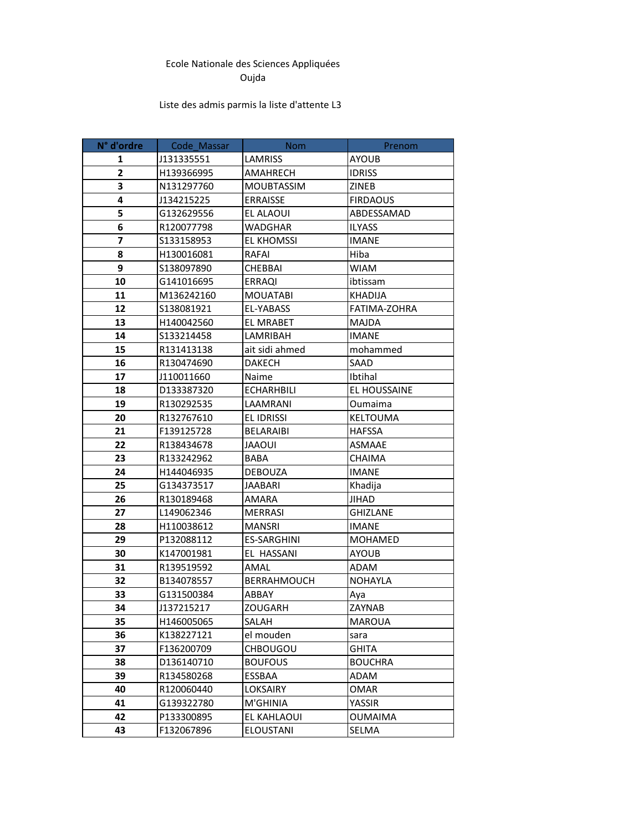## Ecole Nationale des Sciences Appliquées Oujda

## Liste des admis parmis la liste d'attente L3

| N° d'ordre              | Code_Massar | <b>Nom</b>        | Prenom              |
|-------------------------|-------------|-------------------|---------------------|
| 1                       | J131335551  | LAMRISS           | AYOUB               |
| $\overline{\mathbf{2}}$ | H139366995  | <b>AMAHRECH</b>   | <b>IDRISS</b>       |
| 3                       | N131297760  | <b>MOUBTASSIM</b> | <b>ZINEB</b>        |
| 4                       | J134215225  | <b>ERRAISSE</b>   | <b>FIRDAOUS</b>     |
| 5                       | G132629556  | EL ALAOUI         | ABDESSAMAD          |
| 6                       | R120077798  | WADGHAR           | <b>ILYASS</b>       |
| 7                       | \$133158953 | EL KHOMSSI        | <b>IMANE</b>        |
| 8                       | H130016081  | <b>RAFAI</b>      | Hiba                |
| 9                       | S138097890  | <b>CHEBBAI</b>    | <b>WIAM</b>         |
| 10                      | G141016695  | <b>ERRAQI</b>     | ibtissam            |
| 11                      | M136242160  | <b>MOUATABI</b>   | <b>KHADIJA</b>      |
| 12                      | S138081921  | EL-YABASS         | FATIMA-ZOHRA        |
| 13                      | H140042560  | EL MRABET         | <b>MAJDA</b>        |
| 14                      | S133214458  | LAMRIBAH          | <b>IMANE</b>        |
| 15                      | R131413138  | ait sidi ahmed    | mohammed            |
| 16                      | R130474690  | <b>DAKECH</b>     | SAAD                |
| 17                      | J110011660  | Naime             | Ibtihal             |
| 18                      | D133387320  | <b>ECHARHBILI</b> | <b>EL HOUSSAINE</b> |
| 19                      | R130292535  | LAAMRANI          | Oumaima             |
| 20                      | R132767610  | <b>EL IDRISSI</b> | <b>KELTOUMA</b>     |
| 21                      | F139125728  | <b>BELARAIBI</b>  | <b>HAFSSA</b>       |
| 22                      | R138434678  | <b>JAAOUI</b>     | <b>ASMAAE</b>       |
| 23                      | R133242962  | <b>BABA</b>       | CHAIMA              |
| 24                      | H144046935  | <b>DEBOUZA</b>    | <b>IMANE</b>        |
| 25                      | G134373517  | JAABARI           | Khadija             |
| 26                      | R130189468  | AMARA             | JIHAD               |
| 27                      | L149062346  | <b>MERRASI</b>    | <b>GHIZLANE</b>     |
| 28                      | H110038612  | <b>MANSRI</b>     | <b>IMANE</b>        |
| 29                      | P132088112  | ES-SARGHINI       | <b>MOHAMED</b>      |
| 30                      | K147001981  | EL HASSANI        | <b>AYOUB</b>        |
| 31                      | R139519592  | AMAL              | <b>ADAM</b>         |
| 32                      | B134078557  | BERRAHMOUCH       | <b>NOHAYLA</b>      |
| 33                      | G131500384  | ABBAY             | Aya                 |
| 34                      | J137215217  | ZOUGARH           | ZAYNAB              |
| 35                      | H146005065  | SALAH             | MAROUA              |
| 36                      | K138227121  | el mouden         | sara                |
| 37                      | F136200709  | <b>CHBOUGOU</b>   | <b>GHITA</b>        |
| 38                      | D136140710  | <b>BOUFOUS</b>    | <b>BOUCHRA</b>      |
| 39                      | R134580268  | ESSBAA            | ADAM                |
| 40                      | R120060440  | LOKSAIRY          | OMAR                |
| 41                      | G139322780  | M'GHINIA          | YASSIR              |
| 42                      | P133300895  | EL KAHLAOUI       | <b>OUMAIMA</b>      |
| 43                      | F132067896  | <b>ELOUSTANI</b>  | SELMA               |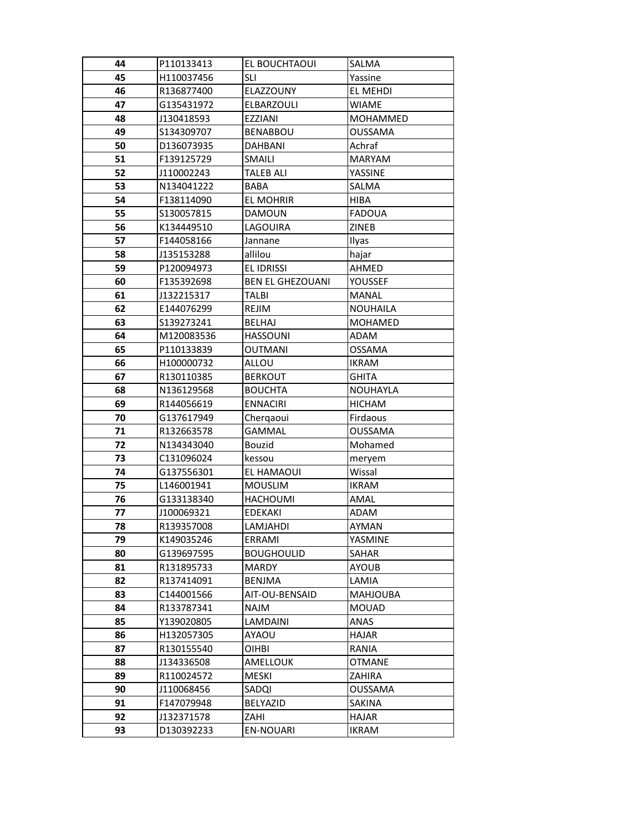| 44       | P110133413               | EL BOUCHTAOUI                 | SALMA                           |
|----------|--------------------------|-------------------------------|---------------------------------|
| 45       | H110037456               | <b>SLI</b>                    | Yassine                         |
| 46       | R136877400               | ELAZZOUNY                     | EL MEHDI                        |
| 47       | G135431972               | ELBARZOULI                    | WIAME                           |
| 48       | J130418593               | EZZIANI                       | MOHAMMED                        |
| 49       | S134309707               | <b>BENABBOU</b>               | <b>OUSSAMA</b>                  |
| 50       | D136073935               | DAHBANI                       | Achraf                          |
| 51       | F139125729               | <b>SMAILI</b>                 | <b>MARYAM</b>                   |
| 52       | J110002243               | <b>TALEB ALI</b>              | YASSINE                         |
| 53       | N134041222               | <b>BABA</b>                   | SALMA                           |
| 54       | F138114090               | EL MOHRIR                     | <b>HIBA</b>                     |
| 55       | S130057815               | <b>DAMOUN</b>                 | <b>FADOUA</b>                   |
| 56       | K134449510               | LAGOUIRA                      | ZINEB                           |
| 57       | F144058166               | Jannane                       | Ilyas                           |
| 58       | J135153288               | allilou                       | hajar                           |
| 59       | P120094973               | EL IDRISSI                    | AHMED                           |
| 60       | F135392698               | <b>BEN EL GHEZOUANI</b>       | YOUSSEF                         |
| 61       | J132215317               | TALBI                         | <b>MANAL</b>                    |
| 62       | E144076299               | REJIM                         | <b>NOUHAILA</b>                 |
| 63       | S139273241               | <b>BELHAJ</b>                 | <b>MOHAMED</b>                  |
| 64       | M120083536               | <b>HASSOUNI</b>               | <b>ADAM</b>                     |
| 65       | P110133839               | <b>OUTMANI</b>                | <b>OSSAMA</b>                   |
| 66       | H100000732               | ALLOU                         | <b>IKRAM</b>                    |
| 67       | R130110385               | <b>BERKOUT</b>                | GHITA                           |
| 68       | N136129568               | <b>BOUCHTA</b>                | <b>NOUHAYLA</b>                 |
| 69       | R144056619               | <b>ENNACIRI</b>               | <b>HICHAM</b>                   |
| 70       | G137617949               | Chergaoui                     | Firdaous                        |
| 71       | R132663578               | GAMMAL                        | OUSSAMA                         |
| 72       | N134343040               | <b>Bouzid</b>                 | Mohamed                         |
| 73       | C131096024               | kessou                        | meryem                          |
| 74       | G137556301               | EL HAMAOUI                    | Wissal                          |
| 75       | L146001941               | <b>MOUSLIM</b>                | <b>IKRAM</b>                    |
| 76       | G133138340               | <b>HACHOUMI</b>               | AMAL                            |
| 77       | J100069321               | <b>EDEKAKI</b>                | ADAM                            |
| 78       | R139357008               | LAMJAHDI                      | AYMAN                           |
| 79       | K149035246               | ERRAMI                        | YASMINE                         |
| 80       | G139697595               | <b>BOUGHOULID</b>             | SAHAR                           |
| 81       | R131895733               | MARDY                         | <b>AYOUB</b>                    |
| 82       | R137414091               | <b>BENJMA</b>                 | LAMIA                           |
| 83<br>84 | C144001566<br>R133787341 | AIT-OU-BENSAID<br><b>NAJM</b> | <b>MAHJOUBA</b><br><b>MOUAD</b> |
| 85       | Y139020805               | LAMDAINI                      | <b>ANAS</b>                     |
| 86       | H132057305               | AYAOU                         | HAJAR                           |
| 87       | R130155540               | OIHBI                         | RANIA                           |
| 88       | J134336508               | AMELLOUK                      | <b>OTMANE</b>                   |
| 89       |                          |                               |                                 |
| 90       | R110024572<br>J110068456 | MESKI<br>SADQI                | ZAHIRA<br>OUSSAMA               |
| 91       | F147079948               | BELYAZID                      | SAKINA                          |
| 92       | J132371578               | ZAHI                          | <b>HAJAR</b>                    |
| 93       | D130392233               | EN-NOUARI                     | IKRAM                           |
|          |                          |                               |                                 |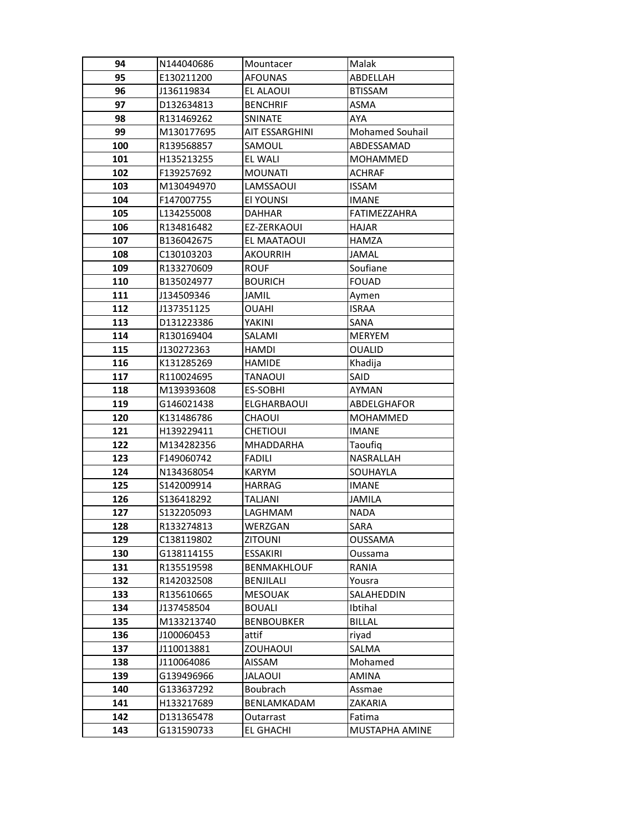| 94  | N144040686 | Mountacer             | Malak                  |
|-----|------------|-----------------------|------------------------|
| 95  | E130211200 | <b>AFOUNAS</b>        | ABDELLAH               |
| 96  | J136119834 | EL ALAOUI             | <b>BTISSAM</b>         |
| 97  | D132634813 | <b>BENCHRIF</b>       | ASMA                   |
| 98  | R131469262 | SNINATE               | AYA                    |
| 99  | M130177695 | <b>AIT ESSARGHINI</b> | <b>Mohamed Souhail</b> |
| 100 | R139568857 | SAMOUL                | ABDESSAMAD             |
| 101 | H135213255 | EL WALI               | MOHAMMED               |
| 102 | F139257692 | <b>MOUNATI</b>        | <b>ACHRAF</b>          |
| 103 | M130494970 | LAMSSAOUI             | <b>ISSAM</b>           |
| 104 | F147007755 | El YOUNSI             | <b>IMANE</b>           |
| 105 | L134255008 | <b>DAHHAR</b>         | FATIMEZZAHRA           |
| 106 | R134816482 | EZ-ZERKAOUI           | <b>HAJAR</b>           |
| 107 | B136042675 | EL MAATAOUI           | <b>HAMZA</b>           |
| 108 | C130103203 | <b>AKOURRIH</b>       | <b>JAMAL</b>           |
| 109 | R133270609 | <b>ROUF</b>           | Soufiane               |
| 110 | B135024977 | <b>BOURICH</b>        | <b>FOUAD</b>           |
| 111 | J134509346 | JAMIL                 | Aymen                  |
| 112 | J137351125 | OUAHI                 | <b>ISRAA</b>           |
| 113 | D131223386 | YAKINI                | <b>SANA</b>            |
| 114 | R130169404 | SALAMI                | <b>MERYEM</b>          |
| 115 | J130272363 | <b>HAMDI</b>          | <b>OUALID</b>          |
| 116 | K131285269 | <b>HAMIDE</b>         | Khadija                |
| 117 | R110024695 | TANAOUI               | SAID                   |
| 118 | M139393608 | ES-SOBHI              | AYMAN                  |
| 119 | G146021438 | <b>ELGHARBAOUI</b>    | ABDELGHAFOR            |
| 120 | K131486786 | CHAOUI                | MOHAMMED               |
| 121 | H139229411 | <b>CHETIOUI</b>       | <b>IMANE</b>           |
| 122 | M134282356 | MHADDARHA             | Taoufiq                |
| 123 | F149060742 | <b>FADILI</b>         | NASRALLAH              |
| 124 | N134368054 | KARYM                 | SOUHAYLA               |
| 125 | S142009914 | <b>HARRAG</b>         | <b>IMANE</b>           |
| 126 | S136418292 | <b>TALJANI</b>        | <b>JAMILA</b>          |
| 127 | S132205093 | LAGHMAM               | <b>NADA</b>            |
| 128 | R133274813 | WERZGAN               | SARA                   |
| 129 | C138119802 | <b>ZITOUNI</b>        | OUSSAMA                |
| 130 | G138114155 | ESSAKIRI              | Oussama                |
| 131 | R135519598 | <b>BENMAKHLOUF</b>    | RANIA                  |
| 132 | R142032508 | BENJILALI             | Yousra                 |
| 133 | R135610665 | <b>MESOUAK</b>        | SALAHEDDIN             |
| 134 | J137458504 | <b>BOUALI</b>         | Ibtihal                |
| 135 | M133213740 | <b>BENBOUBKER</b>     | <b>BILLAL</b>          |
| 136 | J100060453 | attif                 | riyad                  |
| 137 | J110013881 | <b>ZOUHAOUI</b>       | SALMA                  |
| 138 | J110064086 | AISSAM                | Mohamed                |
| 139 | G139496966 | <b>JALAOUI</b>        | AMINA                  |
| 140 | G133637292 | Boubrach              | Assmae                 |
| 141 | H133217689 | BENLAMKADAM           | ZAKARIA                |
| 142 | D131365478 | Outarrast             | Fatima                 |
| 143 | G131590733 | <b>EL GHACHI</b>      | MUSTAPHA AMINE         |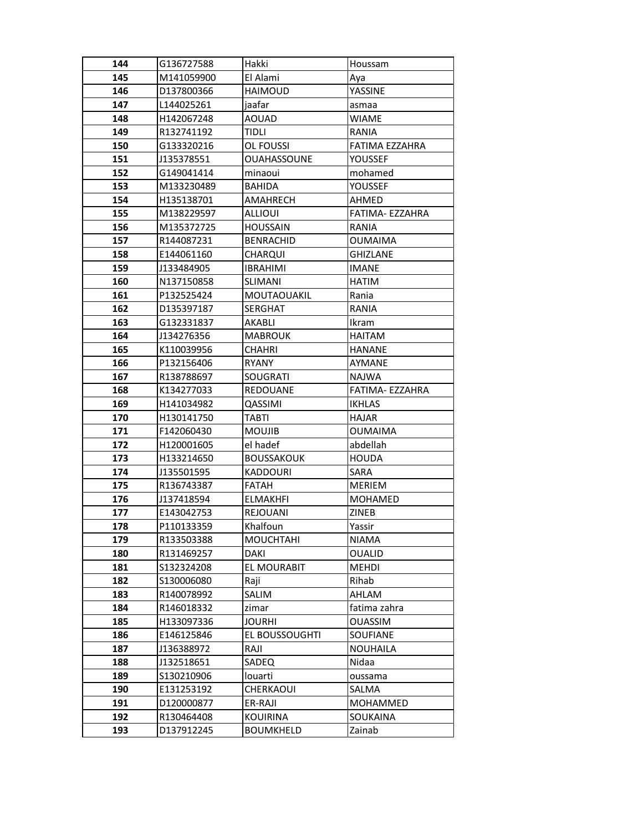| 144        | G136727588               | Hakki                       | Houssam                        |
|------------|--------------------------|-----------------------------|--------------------------------|
| 145        | M141059900               | El Alami                    | Aya                            |
| 146        | D137800366               | <b>HAIMOUD</b>              | YASSINE                        |
| 147        | L144025261               | jaafar                      | asmaa                          |
| 148        | H142067248               | <b>AOUAD</b>                | WIAME                          |
| 149        | R132741192               | TIDLI                       | RANIA                          |
| 150        | G133320216               | OL FOUSSI                   | FATIMA EZZAHRA                 |
| 151        | J135378551               | <b>OUAHASSOUNE</b>          | YOUSSEF                        |
| 152        | G149041414               | minaoui                     | mohamed                        |
| 153        | M133230489               | <b>BAHIDA</b>               | YOUSSEF                        |
| 154        | H135138701               | AMAHRECH                    | AHMED                          |
| 155        | M138229597               | ALLIOUI                     | FATIMA- EZZAHRA                |
| 156        | M135372725               | <b>HOUSSAIN</b>             | RANIA                          |
| 157        | R144087231               | <b>BENRACHID</b>            | <b>OUMAIMA</b>                 |
| 158        | E144061160               | <b>CHARQUI</b>              | <b>GHIZLANE</b>                |
| 159        | J133484905               | <b>IBRAHIMI</b>             | <b>IMANE</b>                   |
| 160        | N137150858               | SLIMANI                     | <b>HATIM</b>                   |
| 161        | P132525424               | MOUTAOUAKIL                 | Rania                          |
| 162        | D135397187               | <b>SERGHAT</b>              | RANIA                          |
| 163        | G132331837               | <b>AKABLI</b>               | Ikram                          |
| 164        | J134276356               | <b>MABROUK</b>              | <b>HAITAM</b>                  |
| 165        | K110039956               | <b>CHAHRI</b>               | <b>HANANE</b>                  |
| 166        | P132156406               | <b>RYANY</b>                | AYMANE                         |
| 167        | R138788697               | <b>SOUGRATI</b>             | <b>NAJWA</b>                   |
| 168        | K134277033               | <b>REDOUANE</b>             | FATIMA- EZZAHRA                |
| 169        | H141034982               | QASSIMI                     | <b>IKHLAS</b>                  |
| 170        | H130141750               | <b>TABTI</b>                | <b>HAJAR</b>                   |
| 171        | F142060430               | <b>MOUJIB</b>               | <b>OUMAIMA</b>                 |
| 172        | H120001605               | el hadef                    | abdellah                       |
| 173        | H133214650               | <b>BOUSSAKOUK</b>           | <b>HOUDA</b>                   |
| 174        | J135501595               | <b>KADDOURI</b>             | SARA                           |
| 175        | R136743387               | <b>FATAH</b>                | <b>MERIEM</b>                  |
| 176        | J137418594               | <b>ELMAKHFI</b>             | <b>MOHAMED</b>                 |
| 177        | E143042753               | <b>REJOUANI</b>             | ZINEB                          |
| 178        | P110133359               | Khalfoun                    | Yassir                         |
| 179        | R133503388               | <b>MOUCHTAHI</b>            | <b>NIAMA</b>                   |
| 180        | R131469257               | DAKI                        | <b>OUALID</b>                  |
| 181        | S132324208               | EL MOURABIT                 | <b>MEHDI</b>                   |
| 182        | \$130006080              | Raji                        | Rihab                          |
| 183<br>184 | R140078992<br>R146018332 | SALIM                       | AHLAM                          |
| 185        | H133097336               | zimar<br><b>JOURHI</b>      | fatima zahra<br><b>OUASSIM</b> |
| 186        | E146125846               | EL BOUSSOUGHTI              | SOUFIANE                       |
| 187        | J136388972               | RAJI                        | <b>NOUHAILA</b>                |
| 188        | J132518651               | SADEQ                       | Nidaa                          |
| 189        |                          |                             |                                |
| 190        | S130210906<br>E131253192 | louarti<br><b>CHERKAOUI</b> | oussama<br>SALMA               |
| 191        | D120000877               | ER-RAJI                     | MOHAMMED                       |
| 192        | R130464408               | <b>KOUIRINA</b>             | SOUKAINA                       |
| 193        | D137912245               | <b>BOUMKHELD</b>            | Zainab                         |
|            |                          |                             |                                |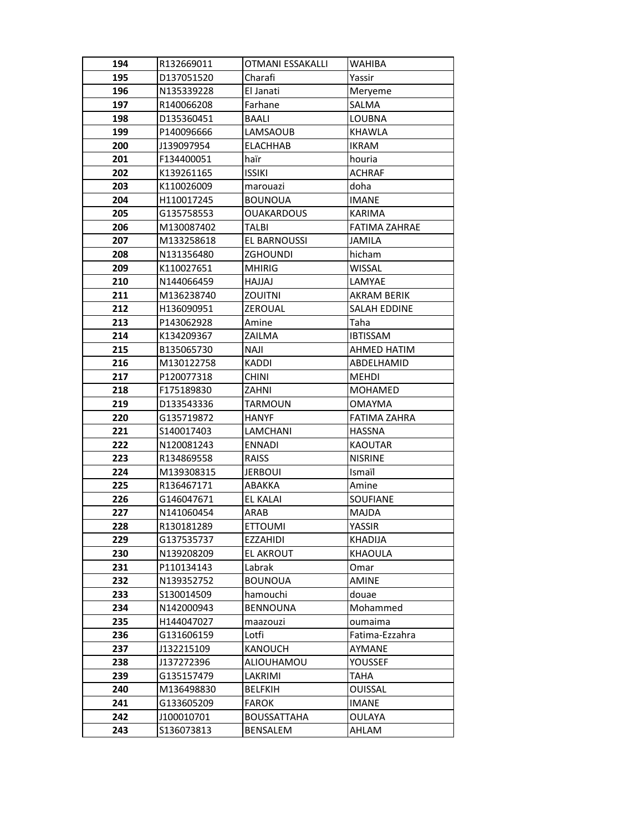| 194 | R132669011 | OTMANI ESSAKALLI   | <b>WAHIBA</b>        |
|-----|------------|--------------------|----------------------|
| 195 | D137051520 | Charafi            | Yassir               |
| 196 | N135339228 | El Janati          | Meryeme              |
| 197 | R140066208 | Farhane            | SALMA                |
| 198 | D135360451 | <b>BAALI</b>       | LOUBNA               |
| 199 | P140096666 | LAMSAOUB           | <b>KHAWLA</b>        |
| 200 | J139097954 | <b>ELACHHAB</b>    | <b>IKRAM</b>         |
| 201 | F134400051 | haïr               | houria               |
| 202 | K139261165 | <b>ISSIKI</b>      | <b>ACHRAF</b>        |
| 203 | K110026009 | marouazi           | doha                 |
| 204 | H110017245 | <b>BOUNOUA</b>     | <b>IMANE</b>         |
| 205 | G135758553 | <b>OUAKARDOUS</b>  | <b>KARIMA</b>        |
| 206 | M130087402 | TALBI              | <b>FATIMA ZAHRAE</b> |
| 207 | M133258618 | EL BARNOUSSI       | JAMILA               |
| 208 | N131356480 | <b>ZGHOUNDI</b>    | hicham               |
| 209 | K110027651 | <b>MHIRIG</b>      | <b>WISSAL</b>        |
| 210 | N144066459 | LALLAH             | LAMYAE               |
| 211 | M136238740 | ZOUITNI            | AKRAM BERIK          |
| 212 | H136090951 | ZEROUAL            | <b>SALAH EDDINE</b>  |
| 213 | P143062928 | Amine              | Taha                 |
| 214 | K134209367 | ZAILMA             | <b>IBTISSAM</b>      |
| 215 | B135065730 | <b>NAJI</b>        | AHMED HATIM          |
| 216 | M130122758 | KADDI              | ABDELHAMID           |
| 217 | P120077318 | <b>CHINI</b>       | <b>MEHDI</b>         |
| 218 | F175189830 | ZAHNI              | <b>MOHAMED</b>       |
| 219 | D133543336 | <b>TARMOUN</b>     | <b>OMAYMA</b>        |
| 220 | G135719872 | <b>HANYF</b>       | <b>FATIMA ZAHRA</b>  |
| 221 | S140017403 | LAMCHANI           | <b>HASSNA</b>        |
| 222 | N120081243 | <b>ENNADI</b>      | <b>KAOUTAR</b>       |
| 223 | R134869558 | <b>RAISS</b>       | <b>NISRINE</b>       |
| 224 | M139308315 | <b>JERBOUI</b>     | Ismaïl               |
| 225 | R136467171 | ABAKKA             | Amine                |
| 226 | G146047671 | <b>EL KALAI</b>    | <b>SOUFIANE</b>      |
| 227 | N141060454 | ARAB               | <b>MAJDA</b>         |
| 228 | R130181289 | <b>ETTOUMI</b>     | YASSIR               |
| 229 | G137535737 | EZZAHIDI           | KHADIJA              |
| 230 | N139208209 | <b>EL AKROUT</b>   | KHAOULA              |
| 231 | P110134143 | Labrak             | Omar                 |
| 232 | N139352752 | <b>BOUNOUA</b>     | <b>AMINE</b>         |
| 233 | S130014509 | hamouchi           | douae                |
| 234 | N142000943 | <b>BENNOUNA</b>    | Mohammed             |
| 235 | H144047027 | maazouzi           | oumaima              |
| 236 | G131606159 | Lotfi              | Fatima-Ezzahra       |
| 237 | J132215109 | KANOUCH            | AYMANE               |
| 238 | J137272396 | ALIOUHAMOU         | YOUSSEF              |
| 239 | G135157479 | LAKRIMI            | TAHA                 |
| 240 | M136498830 | <b>BELFKIH</b>     | OUISSAL              |
| 241 | G133605209 | <b>FAROK</b>       | IMANE                |
| 242 | J100010701 | <b>BOUSSATTAHA</b> | <b>OULAYA</b>        |
| 243 | S136073813 | BENSALEM           | AHLAM                |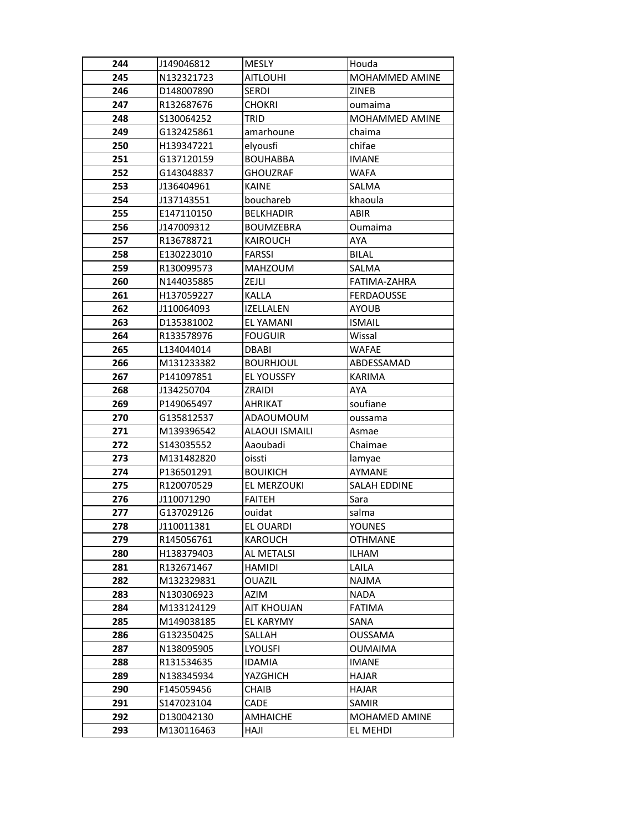| 244        | J149046812                | <b>MESLY</b>          | Houda                   |
|------------|---------------------------|-----------------------|-------------------------|
| 245        | N132321723                | <b>AITLOUHI</b>       | MOHAMMED AMINE          |
| 246        | D148007890                | <b>SERDI</b>          | ZINEB                   |
| 247        | R132687676                | <b>CHOKRI</b>         | oumaima                 |
| 248        | S130064252                | <b>TRID</b>           | <b>MOHAMMED AMINE</b>   |
| 249        | G132425861                | amarhoune             | chaima                  |
| 250        | H139347221                | elyousfi              | chifae                  |
| 251        | G137120159                | <b>BOUHABBA</b>       | <b>IMANE</b>            |
| 252        | G143048837                | <b>GHOUZRAF</b>       | <b>WAFA</b>             |
| 253        | J136404961                | <b>KAINE</b>          | <b>SALMA</b>            |
| 254        | J137143551                | bouchareb             | khaoula                 |
| 255        | E147110150                | <b>BELKHADIR</b>      | <b>ABIR</b>             |
| 256        | J147009312                | <b>BOUMZEBRA</b>      | Oumaima                 |
| 257        | R136788721                | <b>KAIROUCH</b>       | AYA                     |
| 258        | E130223010                | <b>FARSSI</b>         | <b>BILAL</b>            |
| 259        | R130099573                | <b>MAHZOUM</b>        | <b>SALMA</b>            |
| 260        | N144035885                | ZEJLI                 | FATIMA-ZAHRA            |
| 261        | H137059227                | KALLA                 | <b>FERDAOUSSE</b>       |
| 262        | J110064093                | <b>IZELLALEN</b>      | <b>AYOUB</b>            |
| 263        | D135381002                | <b>EL YAMANI</b>      | <b>ISMAIL</b>           |
| 264        | R133578976                | <b>FOUGUIR</b>        | Wissal                  |
| 265        | L134044014                | <b>DBABI</b>          | WAFAE                   |
| 266        | M131233382                | <b>BOURHJOUL</b>      | ABDESSAMAD              |
| 267        | P141097851                | <b>EL YOUSSFY</b>     | <b>KARIMA</b>           |
| 268        | J134250704                | ZRAIDI                | AYA                     |
| 269        | P149065497                | AHRIKAT               | soufiane                |
| 270        | G135812537                | <b>ADAOUMOUM</b>      | oussama                 |
| 271        | M139396542                | <b>ALAOUI ISMAILI</b> | Asmae                   |
| 272        | S143035552                | Aaoubadi              | Chaimae                 |
| 273        | M131482820                | oissti                | lamyae                  |
| 274        | P136501291                | <b>BOUIKICH</b>       | AYMANE                  |
| 275        | R120070529                | EL MERZOUKI           | SALAH EDDINE            |
| 276        | J110071290                | <b>FAITEH</b>         | Sara                    |
| 277        | G137029126                | ouidat                | salma                   |
| 278        | J110011381                | EL OUARDI             | <b>YOUNES</b>           |
| 279        | R145056761                | KAROUCH               | <b>OTHMANE</b>          |
| 280        | H138379403                | AL METALSI            | <b>ILHAM</b>            |
| 281        | R132671467                | <b>HAMIDI</b>         | LAILA                   |
| 282        | M132329831                | <b>OUAZIL</b>         | <b>NAJMA</b>            |
| 283        | N130306923                | AZIM                  | <b>NADA</b>             |
| 284        | M133124129                | <b>AIT KHOUJAN</b>    | <b>FATIMA</b>           |
| 285        | M149038185                | EL KARYMY             | SANA                    |
| 286        | G132350425                | SALLAH                | <b>OUSSAMA</b>          |
| 287<br>288 | N138095905                | <b>LYOUSFI</b>        | OUMAIMA<br><b>IMANE</b> |
|            | R131534635                | <b>IDAMIA</b>         |                         |
| 289<br>290 | N138345934                | YAZGHICH              | <b>HAJAR</b>            |
|            | F145059456                | CHAIB                 | HAJAR                   |
| 291<br>292 | \$147023104<br>D130042130 | CADE<br>AMHAICHE      | SAMIR<br>MOHAMED AMINE  |
|            |                           |                       |                         |
| 293        | M130116463                | HAJI                  | EL MEHDI                |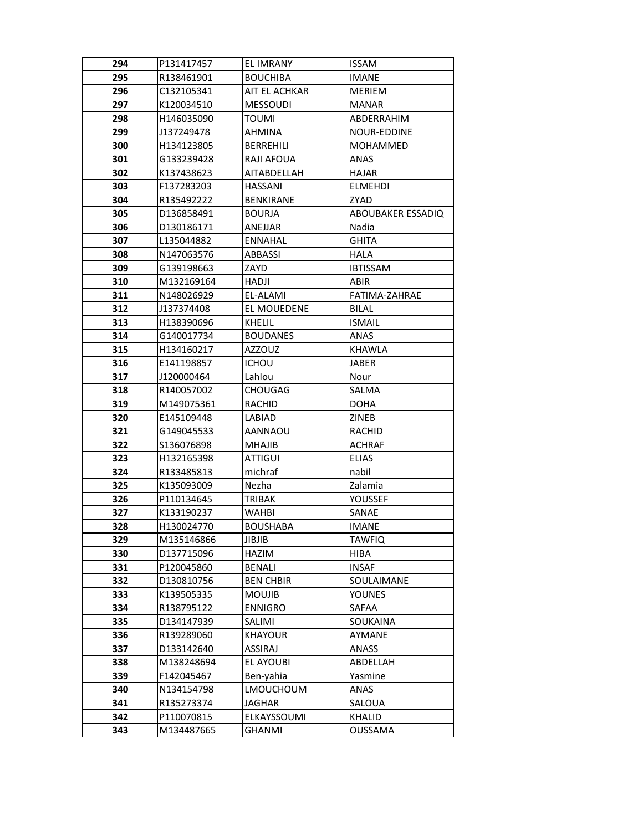| 294 | P131417457  | EL IMRANY         | <b>ISSAM</b>      |
|-----|-------------|-------------------|-------------------|
| 295 | R138461901  | <b>BOUCHIBA</b>   | <b>IMANE</b>      |
| 296 | C132105341  | AIT EL ACHKAR     | <b>MERIEM</b>     |
| 297 | K120034510  | <b>MESSOUDI</b>   | <b>MANAR</b>      |
| 298 | H146035090  | <b>TOUMI</b>      | ABDERRAHIM        |
| 299 | J137249478  | AHMINA            | NOUR-EDDINE       |
| 300 | H134123805  | <b>BERREHILI</b>  | MOHAMMED          |
| 301 | G133239428  | <b>RAJI AFOUA</b> | <b>ANAS</b>       |
| 302 | K137438623  | AITABDELLAH       | HAJAR             |
| 303 | F137283203  | <b>HASSANI</b>    | <b>ELMEHDI</b>    |
| 304 | R135492222  | <b>BENKIRANE</b>  | ZYAD              |
| 305 | D136858491  | <b>BOURJA</b>     | ABOUBAKER ESSADIQ |
| 306 | D130186171  | ANEJJAR           | Nadia             |
| 307 | L135044882  | <b>ENNAHAL</b>    | <b>GHITA</b>      |
| 308 | N147063576  | ABBASSI           | <b>HALA</b>       |
| 309 | G139198663  | ZAYD              | <b>IBTISSAM</b>   |
| 310 | M132169164  | HADJI             | ABIR              |
| 311 | N148026929  | EL-ALAMI          | FATIMA-ZAHRAE     |
| 312 | J137374408  | EL MOUEDENE       | <b>BILAL</b>      |
| 313 | H138390696  | <b>KHELIL</b>     | <b>ISMAIL</b>     |
| 314 | G140017734  | <b>BOUDANES</b>   | ANAS              |
| 315 | H134160217  | <b>AZZOUZ</b>     | KHAWLA            |
| 316 | E141198857  | <b>ICHOU</b>      | <b>JABER</b>      |
| 317 | J120000464  | Lahlou            | Nour              |
| 318 | R140057002  | <b>CHOUGAG</b>    | SALMA             |
| 319 | M149075361  | RACHID            | <b>DOHA</b>       |
| 320 | E145109448  | LABIAD            | ZINEB             |
| 321 | G149045533  | AANNAOU           | RACHID            |
| 322 | \$136076898 | <b>MHAJIB</b>     | <b>ACHRAF</b>     |
| 323 | H132165398  | ATTIGUI           | <b>ELIAS</b>      |
| 324 | R133485813  | michraf           | nabil             |
| 325 | K135093009  | Nezha             | Zalamia           |
| 326 | P110134645  | TRIBAK            | YOUSSEF           |
| 327 | K133190237  | WAHBI             | SANAE             |
| 328 | H130024770  | <b>BOUSHABA</b>   | <b>IMANE</b>      |
| 329 | M135146866  | <b>JIBJIB</b>     | TAWFIQ            |
| 330 | D137715096  | HAZIM             | HIBA              |
| 331 | P120045860  | <b>BENALI</b>     | <b>INSAF</b>      |
| 332 | D130810756  | <b>BEN CHBIR</b>  | SOULAIMANE        |
| 333 | K139505335  | <b>MOUJIB</b>     | <b>YOUNES</b>     |
| 334 | R138795122  | <b>ENNIGRO</b>    | SAFAA             |
| 335 | D134147939  | SALIMI            | SOUKAINA          |
| 336 | R139289060  | <b>KHAYOUR</b>    | AYMANE            |
| 337 | D133142640  | ASSIRAJ           | ANASS             |
| 338 | M138248694  | EL AYOUBI         | ABDELLAH          |
| 339 | F142045467  | Ben-yahia         | Yasmine           |
| 340 | N134154798  | LMOUCHOUM         | ANAS              |
| 341 | R135273374  | JAGHAR            | SALOUA            |
| 342 | P110070815  | ELKAYSSOUMI       | KHALID            |
| 343 | M134487665  | GHANMI            | OUSSAMA           |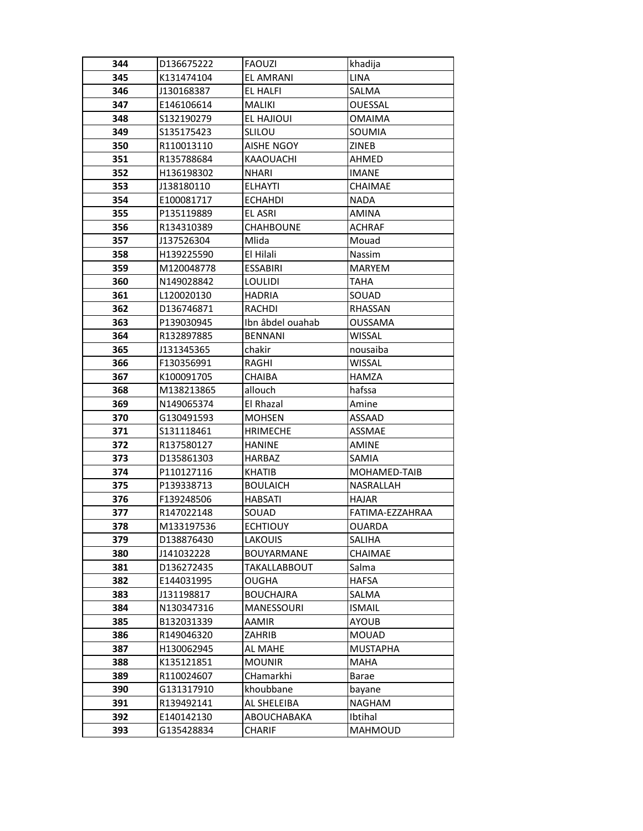| 344        | D136675222               | FAOUZI                                | khadija                |
|------------|--------------------------|---------------------------------------|------------------------|
| 345        | K131474104               | <b>EL AMRANI</b>                      | LINA                   |
| 346        | J130168387               | EL HALFI                              | SALMA                  |
| 347        | E146106614               | <b>MALIKI</b>                         | <b>OUESSAL</b>         |
| 348        | S132190279               | EL HAJIOUI                            | <b>OMAIMA</b>          |
| 349        | S135175423               | <b>SLILOU</b>                         | SOUMIA                 |
| 350        | R110013110               | <b>AISHE NGOY</b>                     | ZINEB                  |
| 351        | R135788684               | KAAOUACHI                             | AHMED                  |
| 352        | H136198302               | <b>NHARI</b>                          | <b>IMANE</b>           |
| 353        | J138180110               | <b>ELHAYTI</b>                        | CHAIMAE                |
| 354        | E100081717               | ECHAHDI                               | NADA                   |
| 355        | P135119889               | <b>EL ASRI</b>                        | <b>AMINA</b>           |
| 356        | R134310389               | <b>CHAHBOUNE</b>                      | <b>ACHRAF</b>          |
| 357        | J137526304               | Mlida                                 | Mouad                  |
| 358        | H139225590               | El Hilali                             | Nassim                 |
| 359        | M120048778               | <b>ESSABIRI</b>                       | <b>MARYEM</b>          |
| 360        | N149028842               | <b>LOULIDI</b>                        | <b>TAHA</b>            |
| 361        | L120020130               | <b>HADRIA</b>                         | SOUAD                  |
| 362        | D136746871               | RACHDI                                | <b>RHASSAN</b>         |
| 363        | P139030945               | Ibn âbdel ouahab                      | <b>OUSSAMA</b>         |
| 364        | R132897885               | <b>BENNANI</b>                        | <b>WISSAL</b>          |
| 365        | J131345365               | chakir                                | nousaiba               |
| 366        | F130356991               | RAGHI                                 | <b>WISSAL</b>          |
| 367        | K100091705               | CHAIBA                                | <b>HAMZA</b>           |
| 368        | M138213865               | allouch                               | hafssa                 |
| 369        | N149065374               | El Rhazal                             | Amine                  |
| 370        | G130491593               | <b>MOHSEN</b>                         | <b>ASSAAD</b>          |
| 371        | S131118461               | <b>HRIMECHE</b>                       | <b>ASSMAE</b>          |
| 372        | R137580127               | <b>HANINE</b>                         | <b>AMINE</b>           |
| 373        | D135861303               | <b>HARBAZ</b>                         | SAMIA                  |
| 374        | P110127116               | <b>KHATIB</b>                         | MOHAMED-TAIB           |
| 375        | P139338713               | <b>BOULAICH</b>                       | NASRALLAH              |
| 376        | F139248506               | <b>HABSATI</b>                        | HAJAR                  |
| 377        | R147022148               | SOUAD                                 | FATIMA-EZZAHRAA        |
| 378        | M133197536               | <b>ECHTIOUY</b>                       | <b>OUARDA</b>          |
| 379        | D138876430               | LAKOUIS                               | <b>SALIHA</b>          |
| 380        | J141032228               | BOUYARMANE                            | CHAIMAE                |
| 381        | D136272435               | <b>TAKALLABBOUT</b>                   | Salma                  |
| 382        | E144031995               | <b>OUGHA</b>                          | <b>HAFSA</b>           |
| 383<br>384 | J131198817<br>N130347316 | <b>BOUCHAJRA</b><br><b>MANESSOURI</b> | SALMA<br><b>ISMAIL</b> |
| 385        | B132031339               | <b>AAMIR</b>                          | <b>AYOUB</b>           |
| 386        | R149046320               | ZAHRIB                                | <b>MOUAD</b>           |
| 387        | H130062945               | AL MAHE                               | <b>MUSTAPHA</b>        |
| 388        | K135121851               | <b>MOUNIR</b>                         | <b>MAHA</b>            |
|            |                          | CHamarkhi                             |                        |
| 389<br>390 | R110024607<br>G131317910 | khoubbane                             | Barae<br>bayane        |
| 391        | R139492141               | AL SHELEIBA                           | <b>NAGHAM</b>          |
| 392        | E140142130               | ABOUCHABAKA                           | Ibtihal                |
| 393        | G135428834               | CHARIF                                | <b>MAHMOUD</b>         |
|            |                          |                                       |                        |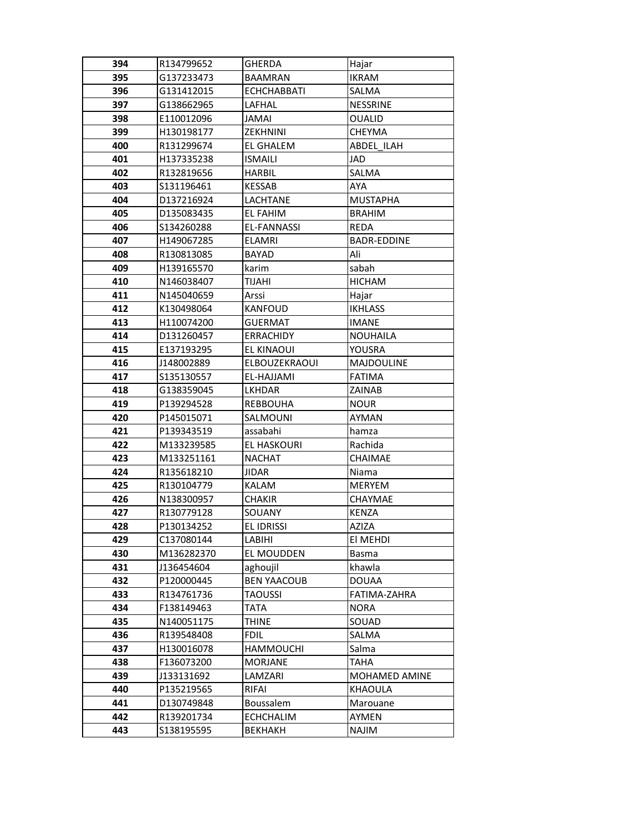| 394        | R134799652               | GHERDA               | Hajar                    |
|------------|--------------------------|----------------------|--------------------------|
| 395        | G137233473               | <b>BAAMRAN</b>       | <b>IKRAM</b>             |
| 396        | G131412015               | <b>ECHCHABBATI</b>   | SALMA                    |
| 397        | G138662965               | LAFHAL               | <b>NESSRINE</b>          |
| 398        | E110012096               | JAMAI                | <b>OUALID</b>            |
| 399        | H130198177               | <b>ZEKHNINI</b>      | CHEYMA                   |
| 400        | R131299674               | EL GHALEM            | ABDEL ILAH               |
| 401        | H137335238               | <b>ISMAILI</b>       | JAD                      |
| 402        | R132819656               | <b>HARBIL</b>        | SALMA                    |
| 403        | S131196461               | <b>KESSAB</b>        | AYA                      |
| 404        | D137216924               | LACHTANE             | <b>MUSTAPHA</b>          |
| 405        | D135083435               | <b>EL FAHIM</b>      | <b>BRAHIM</b>            |
| 406        | \$134260288              | EL-FANNASSI          | REDA                     |
| 407        | H149067285               | <b>ELAMRI</b>        | <b>BADR-EDDINE</b>       |
| 408        | R130813085               | <b>BAYAD</b>         | Ali                      |
| 409        | H139165570               | karim                | sabah                    |
| 410        | N146038407               | TIJAHI               | <b>HICHAM</b>            |
| 411        | N145040659               | Arssi                | Hajar                    |
| 412        | K130498064               | <b>KANFOUD</b>       | <b>IKHLASS</b>           |
| 413        | H110074200               | <b>GUERMAT</b>       | <b>IMANE</b>             |
| 414        | D131260457               | ERRACHIDY            | <b>NOUHAILA</b>          |
| 415        | E137193295               | EL KINAOUI           | YOUSRA                   |
| 416        | J148002889               | <b>ELBOUZEKRAOUI</b> | <b>MAJDOULINE</b>        |
| 417        | \$135130557              | EL-HAJJAMI           | <b>FATIMA</b>            |
| 418        | G138359045               | LKHDAR               | ZAINAB                   |
| 419        | P139294528               | <b>REBBOUHA</b>      | <b>NOUR</b>              |
| 420        | P145015071               | SALMOUNI             | AYMAN                    |
| 421        | P139343519               | assabahi             | hamza                    |
| 422        | M133239585               | <b>EL HASKOURI</b>   | Rachida                  |
| 423        | M133251161               | <b>NACHAT</b>        | <b>CHAIMAE</b>           |
| 424        | R135618210               | <b>JIDAR</b>         | Niama                    |
| 425        | R130104779               | KALAM                | MERYEM                   |
| 426        | N138300957               | <b>CHAKIR</b>        | CHAYMAE                  |
| 427        | R130779128               | SOUANY               | <b>KENZA</b>             |
| 428        | P130134252               | EL IDRISSI           | AZIZA                    |
| 429        | C137080144               | LABIHI               | EI MEHDI                 |
| 430        | M136282370               | EL MOUDDEN           | Basma                    |
| 431        | J136454604               | aghoujil             | khawla                   |
| 432        | P120000445<br>R134761736 | <b>BEN YAACOUB</b>   | <b>DOUAA</b>             |
| 433        |                          | <b>TAOUSSI</b>       | FATIMA-ZAHRA             |
| 434        | F138149463               | TATA                 | <b>NORA</b>              |
| 435        | N140051175<br>R139548408 | THINE                | SOUAD<br><b>SALMA</b>    |
| 436        |                          | <b>FDIL</b>          |                          |
| 437        | H130016078               | <b>HAMMOUCHI</b>     | Salma                    |
| 438        | F136073200               | <b>MORJANE</b>       | TAHA                     |
| 439<br>440 | J133131692               | LAMZARI              | MOHAMED AMINE<br>KHAOULA |
|            | P135219565               | RIFAI                |                          |
| 441<br>442 | D130749848               | Boussalem            | Marouane                 |
|            | R139201734               | <b>ECHCHALIM</b>     | AYMEN                    |
| 443        | S138195595               | <b>BEKHAKH</b>       | NAJIM                    |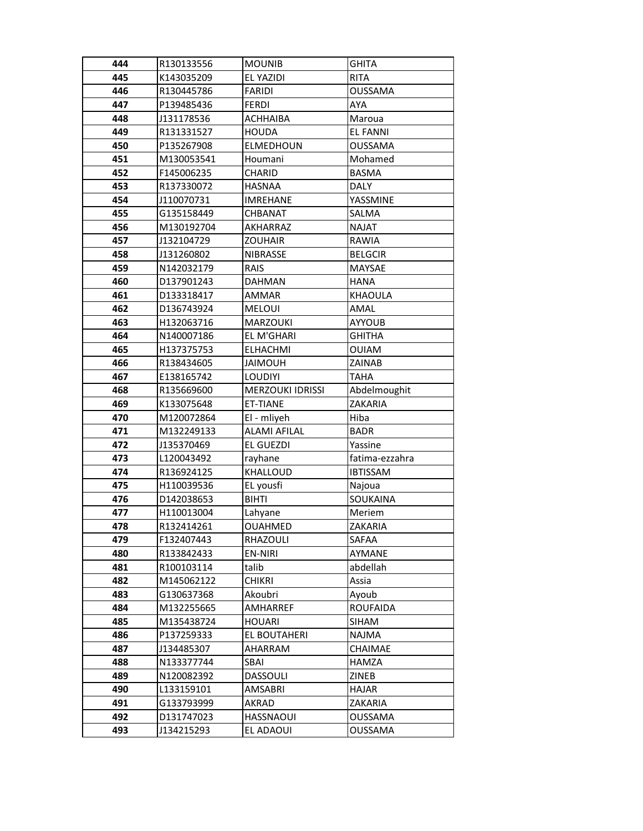| 444        | R130133556               | <b>MOUNIB</b>                 | <b>GHITA</b>              |
|------------|--------------------------|-------------------------------|---------------------------|
| 445        | K143035209               | EL YAZIDI                     | <b>RITA</b>               |
| 446        | R130445786               | <b>FARIDI</b>                 | <b>OUSSAMA</b>            |
| 447        | P139485436               | <b>FERDI</b>                  | AYA                       |
| 448        | J131178536               | <b>ACHHAIBA</b>               | Maroua                    |
| 449        | R131331527               | <b>HOUDA</b>                  | <b>EL FANNI</b>           |
| 450        | P135267908               | <b>ELMEDHOUN</b>              | <b>OUSSAMA</b>            |
| 451        | M130053541               | Houmani                       | Mohamed                   |
| 452        | F145006235               | CHARID                        | <b>BASMA</b>              |
| 453        | R137330072               | <b>HASNAA</b>                 | <b>DALY</b>               |
| 454        | J110070731               | <b>IMREHANE</b>               | YASSMINE                  |
| 455        | G135158449               | CHBANAT                       | SALMA                     |
| 456        | M130192704               | AKHARRAZ                      | <b>NAJAT</b>              |
| 457        | J132104729               | <b>ZOUHAIR</b>                | RAWIA                     |
| 458        | J131260802               | <b>NIBRASSE</b>               | <b>BELGCIR</b>            |
| 459        | N142032179               | <b>RAIS</b>                   | <b>MAYSAE</b>             |
| 460        | D137901243               | <b>DAHMAN</b>                 | <b>HANA</b>               |
| 461        | D133318417               | AMMAR                         | <b>KHAOULA</b>            |
| 462        | D136743924               | <b>MELOUI</b>                 | AMAL                      |
| 463        | H132063716               | <b>MARZOUKI</b>               | <b>AYYOUB</b>             |
| 464        | N140007186               | EL M'GHARI                    | <b>GHITHA</b>             |
| 465        | H137375753               | <b>ELHACHMI</b>               | <b>OUIAM</b>              |
| 466        | R138434605               | <b>JAIMOUH</b>                | ZAINAB                    |
| 467        | E138165742               | <b>LOUDIYI</b>                | TAHA                      |
| 468        | R135669600               | <b>MERZOUKI IDRISSI</b>       | Abdelmoughit              |
| 469        | K133075648               | ET-TIANE                      | ZAKARIA                   |
| 470        | M120072864               | El - mliyeh                   | Hiba                      |
| 471        | M132249133               | <b>ALAMI AFILAL</b>           | <b>BADR</b>               |
| 472        | J135370469               | EL GUEZDI                     | Yassine                   |
| 473        | L120043492               | rayhane                       | fatima-ezzahra            |
| 474        | R136924125               | KHALLOUD                      | <b>IBTISSAM</b>           |
| 475        | H110039536               | EL yousfi                     | Najoua                    |
| 476        | D142038653               | <b>BIHTI</b>                  | SOUKAINA                  |
| 477        | H110013004               | Lahyane                       | Meriem                    |
| 478        | R132414261               | <b>OUAHMED</b>                | ZAKARIA                   |
| 479        | F132407443               | RHAZOULI                      | SAFAA                     |
| 480        | R133842433               | <b>EN-NIRI</b>                | AYMANE                    |
| 481        | R100103114               | talib                         | abdellah                  |
| 482        | M145062122               | <b>CHIKRI</b>                 | Assia                     |
| 483        | G130637368               | Akoubri                       | Ayoub                     |
| 484        | M132255665               | AMHARREF                      | <b>ROUFAIDA</b>           |
| 485        | M135438724               | <b>HOUARI</b>                 | SIHAM                     |
| 486        | P137259333               | EL BOUTAHERI                  | <b>NAJMA</b>              |
| 487        | J134485307<br>N133377744 | AHARRAM                       | CHAIMAE                   |
| 488        |                          | <b>SBAI</b>                   | <b>HAMZA</b>              |
| 489        | N120082392               | <b>DASSOULI</b>               | ZINEB                     |
| 490        | L133159101               | AMSABRI                       | <b>HAJAR</b>              |
| 491        |                          |                               |                           |
|            | G133793999               | AKRAD                         | ZAKARIA                   |
| 492<br>493 | D131747023<br>J134215293 | <b>HASSNAOUI</b><br>EL ADAOUI | <b>OUSSAMA</b><br>OUSSAMA |